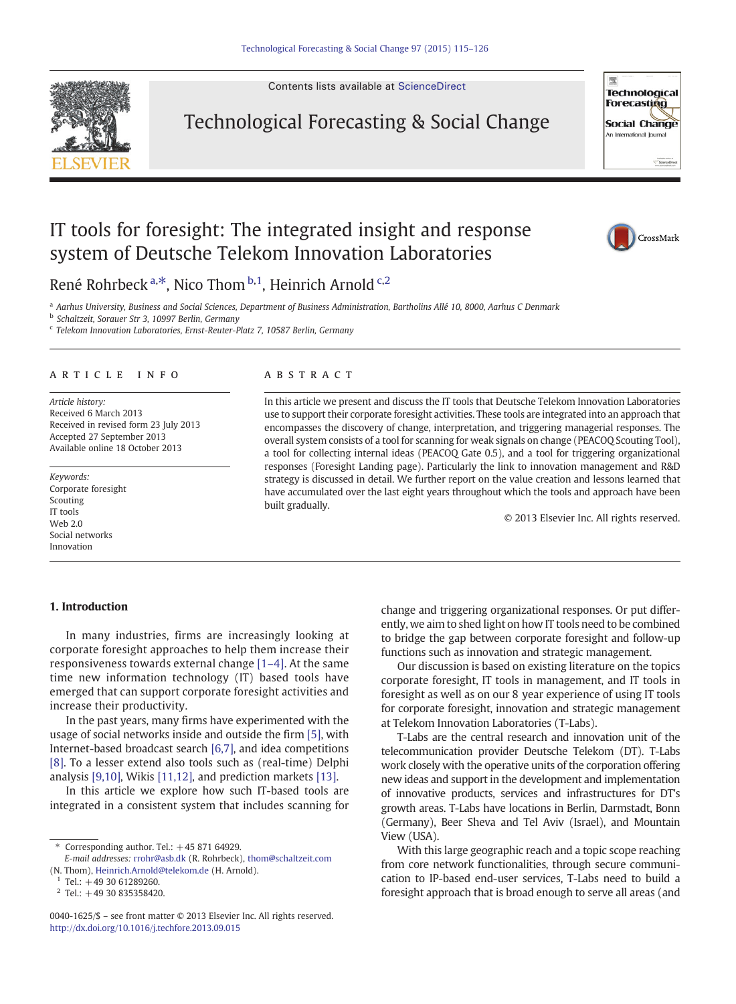Contents lists available at [ScienceDirect](http://www.sciencedirect.com/science/journal/00401625)



Technological Forecasting & Social Change



# IT tools for foresight: The integrated insight and response system of Deutsche Telekom Innovation Laboratories



René Rohrbeck <sup>a,\*</sup>, Nico Thom <sup>b,1</sup>, Heinrich Arnold <sup>c,2</sup>

a Aarhus University, Business and Social Sciences, Department of Business Administration, Bartholins Allé 10, 8000, Aarhus C Denmark

<sup>b</sup> Schaltzeit, Sorauer Str 3, 10997 Berlin, Germany

<sup>c</sup> Telekom Innovation Laboratories, Ernst-Reuter-Platz 7, 10587 Berlin, Germany

### article info abstract

Article history: Received 6 March 2013 Received in revised form 23 July 2013 Accepted 27 September 2013 Available online 18 October 2013

Keywords: Corporate foresight Scouting IT tools Web 2.0 Social networks Innovation

In this article we present and discuss the IT tools that Deutsche Telekom Innovation Laboratories use to support their corporate foresight activities. These tools are integrated into an approach that encompasses the discovery of change, interpretation, and triggering managerial responses. The overall system consists of a tool for scanning for weak signals on change (PEACOQ Scouting Tool), a tool for collecting internal ideas (PEACOQ Gate 0.5), and a tool for triggering organizational responses (Foresight Landing page). Particularly the link to innovation management and R&D strategy is discussed in detail. We further report on the value creation and lessons learned that have accumulated over the last eight years throughout which the tools and approach have been built gradually.

© 2013 Elsevier Inc. All rights reserved.

# 1. Introduction

In many industries, firms are increasingly looking at corporate foresight approaches to help them increase their responsiveness towards external change [\[1](#page--1-0)–4]. At the same time new information technology (IT) based tools have emerged that can support corporate foresight activities and increase their productivity.

In the past years, many firms have experimented with the usage of social networks inside and outside the firm [\[5\]](#page--1-0), with Internet-based broadcast search [\[6,7\],](#page--1-0) and idea competitions [\[8\]](#page--1-0). To a lesser extend also tools such as (real-time) Delphi analysis [\[9,10\]](#page--1-0), Wikis [\[11,12\]](#page--1-0), and prediction markets [\[13\].](#page--1-0)

In this article we explore how such IT-based tools are integrated in a consistent system that includes scanning for change and triggering organizational responses. Or put differently, we aim to shed light on how IT tools need to be combined to bridge the gap between corporate foresight and follow-up functions such as innovation and strategic management.

Our discussion is based on existing literature on the topics corporate foresight, IT tools in management, and IT tools in foresight as well as on our 8 year experience of using IT tools for corporate foresight, innovation and strategic management at Telekom Innovation Laboratories (T-Labs).

T-Labs are the central research and innovation unit of the telecommunication provider Deutsche Telekom (DT). T-Labs work closely with the operative units of the corporation offering new ideas and support in the development and implementation of innovative products, services and infrastructures for DT's growth areas. T-Labs have locations in Berlin, Darmstadt, Bonn (Germany), Beer Sheva and Tel Aviv (Israel), and Mountain View (USA).

With this large geographic reach and a topic scope reaching from core network functionalities, through secure communication to IP-based end-user services, T-Labs need to build a foresight approach that is broad enough to serve all areas (and

 $*$  Corresponding author. Tel.:  $+4587164929$ .

E-mail addresses: [rrohr@asb.dk](mailto:rrohr@asb.dk) (R. Rohrbeck), [thom@schaltzeit.com](mailto:thom@schaltzeit.com) (N. Thom), [Heinrich.Arnold@telekom.de](mailto:Heinrich.Arnold@telekom.de) (H. Arnold).

 $1$  Tel.: +49 30 61289260.

 $2$  Tel.: +49 30 835358420.

<sup>0040-1625/\$</sup> – see front matter © 2013 Elsevier Inc. All rights reserved. <http://dx.doi.org/10.1016/j.techfore.2013.09.015>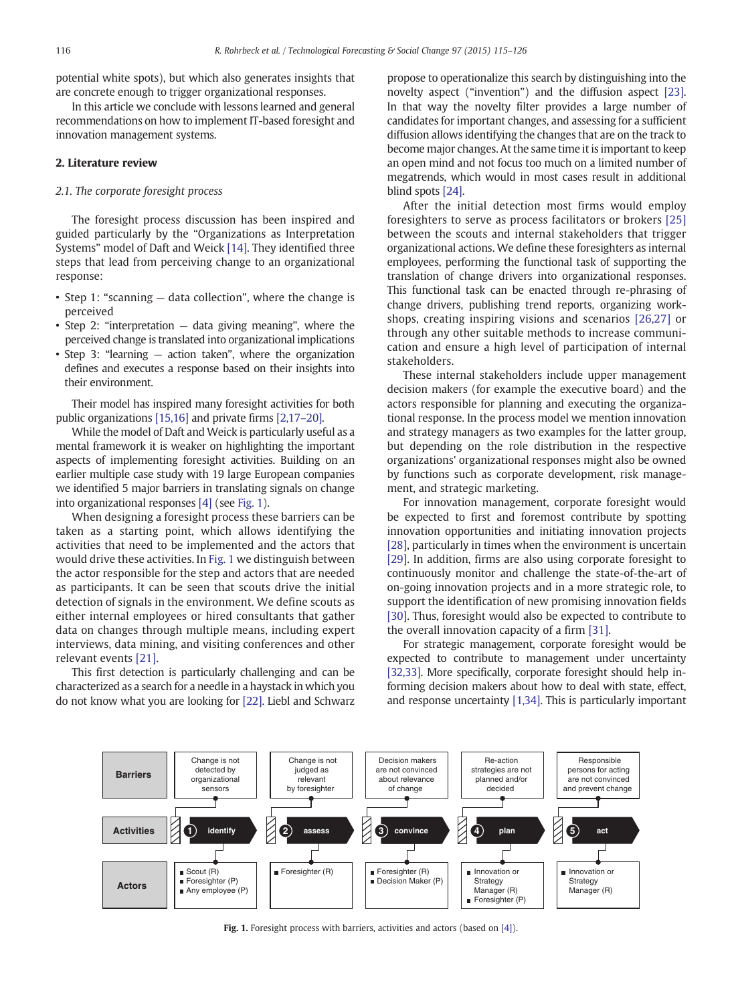potential white spots), but which also generates insights that are concrete enough to trigger organizational responses.

In this article we conclude with lessons learned and general recommendations on how to implement IT-based foresight and innovation management systems.

## 2. Literature review

## 2.1. The corporate foresight process

The foresight process discussion has been inspired and guided particularly by the "Organizations as Interpretation Systems" model of Daft and Weick [\[14\].](#page--1-0) They identified three steps that lead from perceiving change to an organizational response:

- Step 1: "scanning data collection", where the change is perceived
- Step 2: "interpretation data giving meaning", where the perceived change is translated into organizational implications
- Step 3: "learning action taken", where the organization defines and executes a response based on their insights into their environment.

Their model has inspired many foresight activities for both public organizations [\[15,16\]](#page--1-0) and private firms [\[2,17](#page--1-0)–20].

While the model of Daft and Weick is particularly useful as a mental framework it is weaker on highlighting the important aspects of implementing foresight activities. Building on an earlier multiple case study with 19 large European companies we identified 5 major barriers in translating signals on change into organizational responses [\[4\]](#page--1-0) (see Fig. 1).

When designing a foresight process these barriers can be taken as a starting point, which allows identifying the activities that need to be implemented and the actors that would drive these activities. In Fig. 1 we distinguish between the actor responsible for the step and actors that are needed as participants. It can be seen that scouts drive the initial detection of signals in the environment. We define scouts as either internal employees or hired consultants that gather data on changes through multiple means, including expert interviews, data mining, and visiting conferences and other relevant events [\[21\].](#page--1-0)

This first detection is particularly challenging and can be characterized as a search for a needle in a haystack in which you do not know what you are looking for [\[22\].](#page--1-0) Liebl and Schwarz propose to operationalize this search by distinguishing into the novelty aspect ("invention") and the diffusion aspect [\[23\].](#page--1-0) In that way the novelty filter provides a large number of candidates for important changes, and assessing for a sufficient diffusion allows identifying the changes that are on the track to become major changes. At the same time it is important to keep an open mind and not focus too much on a limited number of megatrends, which would in most cases result in additional blind spots [\[24\].](#page--1-0)

After the initial detection most firms would employ foresighters to serve as process facilitators or brokers [\[25\]](#page--1-0) between the scouts and internal stakeholders that trigger organizational actions. We define these foresighters as internal employees, performing the functional task of supporting the translation of change drivers into organizational responses. This functional task can be enacted through re-phrasing of change drivers, publishing trend reports, organizing workshops, creating inspiring visions and scenarios [\[26,27\]](#page--1-0) or through any other suitable methods to increase communication and ensure a high level of participation of internal stakeholders.

These internal stakeholders include upper management decision makers (for example the executive board) and the actors responsible for planning and executing the organizational response. In the process model we mention innovation and strategy managers as two examples for the latter group, but depending on the role distribution in the respective organizations' organizational responses might also be owned by functions such as corporate development, risk management, and strategic marketing.

For innovation management, corporate foresight would be expected to first and foremost contribute by spotting innovation opportunities and initiating innovation projects [\[28\]](#page--1-0), particularly in times when the environment is uncertain [\[29\]](#page--1-0). In addition, firms are also using corporate foresight to continuously monitor and challenge the state-of-the-art of on-going innovation projects and in a more strategic role, to support the identification of new promising innovation fields [\[30\]](#page--1-0). Thus, foresight would also be expected to contribute to the overall innovation capacity of a firm [\[31\].](#page--1-0)

For strategic management, corporate foresight would be expected to contribute to management under uncertainty [\[32,33\]](#page--1-0). More specifically, corporate foresight should help informing decision makers about how to deal with state, effect, and response uncertainty [\[1,34\].](#page--1-0) This is particularly important



Fig. 1. Foresight process with barriers, activities and actors (based on [\[4\]\)](#page--1-0).